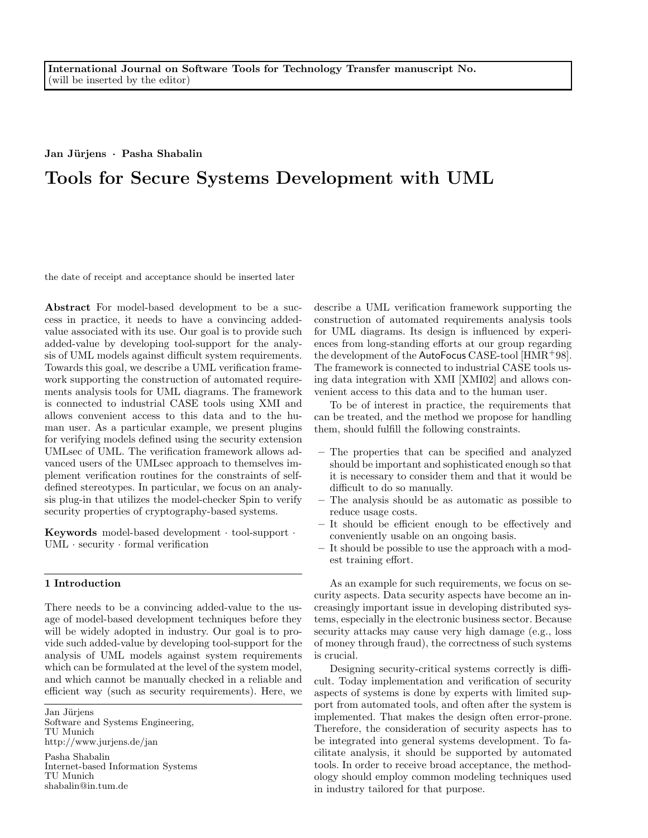# Jan Jürjens · Pasha Shabalin Tools for Secure Systems Development with UML

the date of receipt and acceptance should be inserted later

Abstract For model-based development to be a success in practice, it needs to have a convincing addedvalue associated with its use. Our goal is to provide such added-value by developing tool-support for the analysis of UML models against difficult system requirements. Towards this goal, we describe a UML verification framework supporting the construction of automated requirements analysis tools for UML diagrams. The framework is connected to industrial CASE tools using XMI and allows convenient access to this data and to the human user. As a particular example, we present plugins for verifying models defined using the security extension UMLsec of UML. The verification framework allows advanced users of the UMLsec approach to themselves implement verification routines for the constraints of selfdefined stereotypes. In particular, we focus on an analysis plug-in that utilizes the model-checker Spin to verify security properties of cryptography-based systems.

Keywords model-based development · tool-support · UML · security · formal verification

# 1 Introduction

There needs to be a convincing added-value to the usage of model-based development techniques before they will be widely adopted in industry. Our goal is to provide such added-value by developing tool-support for the analysis of UML models against system requirements which can be formulated at the level of the system model, and which cannot be manually checked in a reliable and efficient way (such as security requirements). Here, we

Jan Jüriens Software and Systems Engineering, TU Munich http://www.jurjens.de/jan

Pasha Shabalin Internet-based Information Systems TU Munich shabalin@in.tum.de

describe a UML verification framework supporting the construction of automated requirements analysis tools for UML diagrams. Its design is influenced by experiences from long-standing efforts at our group regarding the development of the AutoFocus CASE-tool [HMR<sup>+</sup>98]. The framework is connected to industrial CASE tools using data integration with XMI [XMI02] and allows convenient access to this data and to the human user.

To be of interest in practice, the requirements that can be treated, and the method we propose for handling them, should fulfill the following constraints.

- The properties that can be specified and analyzed should be important and sophisticated enough so that it is necessary to consider them and that it would be difficult to do so manually.
- The analysis should be as automatic as possible to reduce usage costs.
- It should be efficient enough to be effectively and conveniently usable on an ongoing basis.
- It should be possible to use the approach with a modest training effort.

As an example for such requirements, we focus on security aspects. Data security aspects have become an increasingly important issue in developing distributed systems, especially in the electronic business sector. Because security attacks may cause very high damage (e.g., loss of money through fraud), the correctness of such systems is crucial.

Designing security-critical systems correctly is difficult. Today implementation and verification of security aspects of systems is done by experts with limited support from automated tools, and often after the system is implemented. That makes the design often error-prone. Therefore, the consideration of security aspects has to be integrated into general systems development. To facilitate analysis, it should be supported by automated tools. In order to receive broad acceptance, the methodology should employ common modeling techniques used in industry tailored for that purpose.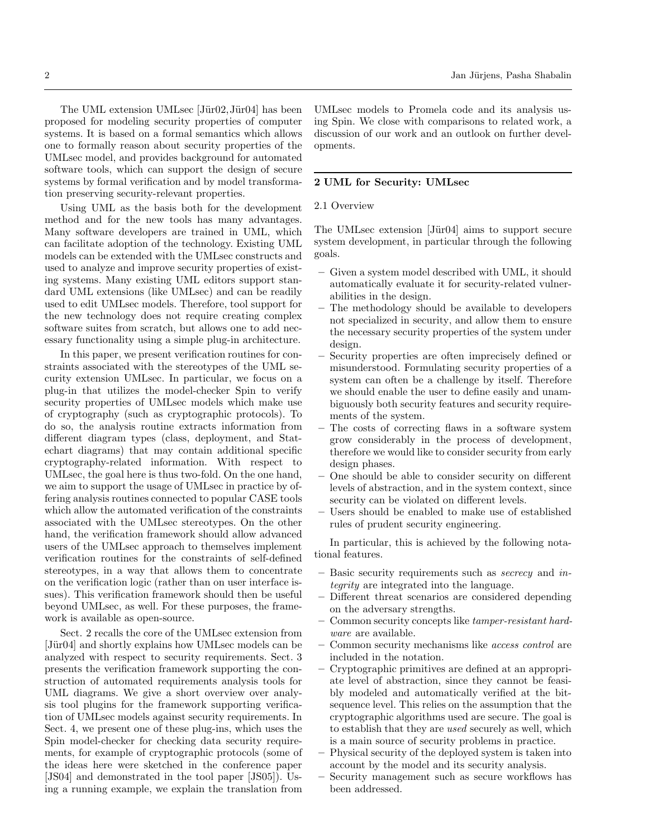The UML extension UMLsec  $[\text{Jür02},\text{Jür04}]$  has been proposed for modeling security properties of computer systems. It is based on a formal semantics which allows one to formally reason about security properties of the UMLsec model, and provides background for automated software tools, which can support the design of secure systems by formal verification and by model transformation preserving security-relevant properties.

Using UML as the basis both for the development method and for the new tools has many advantages. Many software developers are trained in UML, which can facilitate adoption of the technology. Existing UML models can be extended with the UMLsec constructs and used to analyze and improve security properties of existing systems. Many existing UML editors support standard UML extensions (like UMLsec) and can be readily used to edit UMLsec models. Therefore, tool support for the new technology does not require creating complex software suites from scratch, but allows one to add necessary functionality using a simple plug-in architecture.

In this paper, we present verification routines for constraints associated with the stereotypes of the UML security extension UMLsec. In particular, we focus on a plug-in that utilizes the model-checker Spin to verify security properties of UMLsec models which make use of cryptography (such as cryptographic protocols). To do so, the analysis routine extracts information from different diagram types (class, deployment, and Statechart diagrams) that may contain additional specific cryptography-related information. With respect to UMLsec, the goal here is thus two-fold. On the one hand, we aim to support the usage of UMLsec in practice by offering analysis routines connected to popular CASE tools which allow the automated verification of the constraints associated with the UMLsec stereotypes. On the other hand, the verification framework should allow advanced users of the UMLsec approach to themselves implement verification routines for the constraints of self-defined stereotypes, in a way that allows them to concentrate on the verification logic (rather than on user interface issues). This verification framework should then be useful beyond UMLsec, as well. For these purposes, the framework is available as open-source.

Sect. 2 recalls the core of the UMLsec extension from [Jür04] and shortly explains how UMLsec models can be analyzed with respect to security requirements. Sect. 3 presents the verification framework supporting the construction of automated requirements analysis tools for UML diagrams. We give a short overview over analysis tool plugins for the framework supporting verification of UMLsec models against security requirements. In Sect. 4, we present one of these plug-ins, which uses the Spin model-checker for checking data security requirements, for example of cryptographic protocols (some of the ideas here were sketched in the conference paper [JS04] and demonstrated in the tool paper [JS05]). Using a running example, we explain the translation from

UMLsec models to Promela code and its analysis using Spin. We close with comparisons to related work, a discussion of our work and an outlook on further developments.

## 2 UML for Security: UMLsec

#### 2.1 Overview

The UMLsec extension [Jür04] aims to support secure system development, in particular through the following goals.

- Given a system model described with UML, it should automatically evaluate it for security-related vulnerabilities in the design.
- The methodology should be available to developers not specialized in security, and allow them to ensure the necessary security properties of the system under design.
- Security properties are often imprecisely defined or misunderstood. Formulating security properties of a system can often be a challenge by itself. Therefore we should enable the user to define easily and unambiguously both security features and security requirements of the system.
- The costs of correcting flaws in a software system grow considerably in the process of development, therefore we would like to consider security from early design phases.
- One should be able to consider security on different levels of abstraction, and in the system context, since security can be violated on different levels.
- Users should be enabled to make use of established rules of prudent security engineering.

In particular, this is achieved by the following notational features.

- Basic security requirements such as secrecy and integrity are integrated into the language.
- Different threat scenarios are considered depending on the adversary strengths.
- Common security concepts like tamper-resistant hardware are available.
- Common security mechanisms like access control are included in the notation.
- Cryptographic primitives are defined at an appropriate level of abstraction, since they cannot be feasibly modeled and automatically verified at the bitsequence level. This relies on the assumption that the cryptographic algorithms used are secure. The goal is to establish that they are used securely as well, which is a main source of security problems in practice.
- Physical security of the deployed system is taken into account by the model and its security analysis.
- Security management such as secure workflows has been addressed.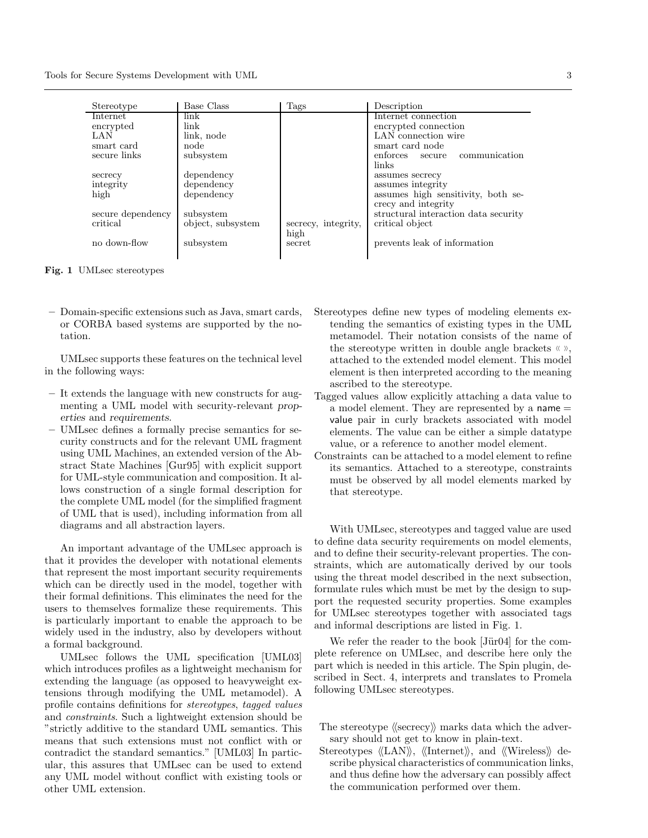| Base Class        | Tags                | Description                          |
|-------------------|---------------------|--------------------------------------|
| link              |                     | Internet connection                  |
| link              |                     | encrypted connection                 |
| link, node        |                     | LAN connection wire                  |
| node              |                     | smart card node                      |
| subsystem         |                     | communication<br>enforces secure     |
|                   |                     | <i>links</i>                         |
| dependency        |                     | assumes secrecy                      |
| dependency        |                     | assumes integrity                    |
| dependency        |                     | assumes high sensitivity, both se-   |
|                   |                     | crecy and integrity                  |
| subsystem         |                     | structural interaction data security |
| object, subsystem | secrecy, integrity, | critical object                      |
|                   | high                |                                      |
| subsystem         | secret              | prevents leak of information         |
|                   |                     |                                      |
|                   |                     |                                      |

Fig. 1 UMLsec stereotypes

– Domain-specific extensions such as Java, smart cards, or CORBA based systems are supported by the notation.

UMLsec supports these features on the technical level in the following ways:

- It extends the language with new constructs for augmenting a UML model with security-relevant properties and requirements.
- UMLsec defines a formally precise semantics for security constructs and for the relevant UML fragment using UML Machines, an extended version of the Abstract State Machines [Gur95] with explicit support for UML-style communication and composition. It allows construction of a single formal description for the complete UML model (for the simplified fragment of UML that is used), including information from all diagrams and all abstraction layers.

An important advantage of the UMLsec approach is that it provides the developer with notational elements that represent the most important security requirements which can be directly used in the model, together with their formal definitions. This eliminates the need for the users to themselves formalize these requirements. This is particularly important to enable the approach to be widely used in the industry, also by developers without a formal background.

UMLsec follows the UML specification [UML03] which introduces profiles as a lightweight mechanism for extending the language (as opposed to heavyweight extensions through modifying the UML metamodel). A profile contains definitions for stereotypes, tagged values and constraints. Such a lightweight extension should be "strictly additive to the standard UML semantics. This means that such extensions must not conflict with or contradict the standard semantics." [UML03] In particular, this assures that UMLsec can be used to extend any UML model without conflict with existing tools or other UML extension.

- Stereotypes define new types of modeling elements extending the semantics of existing types in the UML metamodel. Their notation consists of the name of the stereotype written in double angle brackets  $\langle \psi \rangle$ , attached to the extended model element. This model element is then interpreted according to the meaning ascribed to the stereotype.
- Tagged values allow explicitly attaching a data value to a model element. They are represented by a name = value pair in curly brackets associated with model elements. The value can be either a simple datatype value, or a reference to another model element.
- Constraints can be attached to a model element to refine its semantics. Attached to a stereotype, constraints must be observed by all model elements marked by that stereotype.

With UMLsec, stereotypes and tagged value are used to define data security requirements on model elements, and to define their security-relevant properties. The constraints, which are automatically derived by our tools using the threat model described in the next subsection, formulate rules which must be met by the design to support the requested security properties. Some examples for UMLsec stereotypes together with associated tags and informal descriptions are listed in Fig. 1.

We refer the reader to the book [Jür04] for the complete reference on UMLsec, and describe here only the part which is needed in this article. The Spin plugin, described in Sect. 4, interprets and translates to Promela following UMLsec stereotypes.

- The stereotype  $\langle\langle \text{secrecy} \rangle\rangle$  marks data which the adversary should not get to know in plain-text.
- Stereotypes  $\langle\langle \text{LAN}\rangle\rangle$ ,  $\langle\langle \text{Internet}\rangle\rangle$ , and  $\langle\langle \text{Wireless}\rangle\rangle$  describe physical characteristics of communication links, and thus define how the adversary can possibly affect the communication performed over them.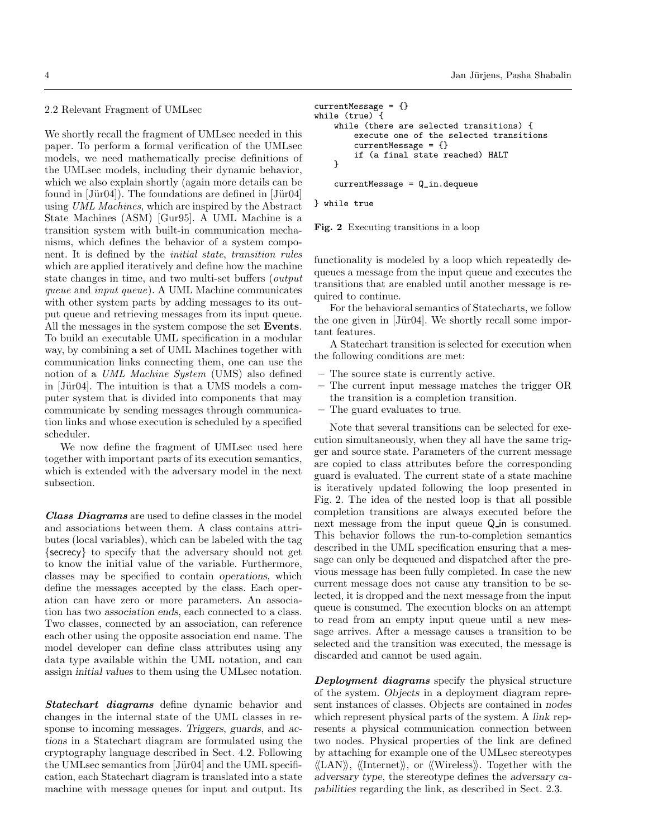## 2.2 Relevant Fragment of UMLsec

We shortly recall the fragment of UMLsec needed in this paper. To perform a formal verification of the UMLsec models, we need mathematically precise definitions of the UMLsec models, including their dynamic behavior, which we also explain shortly (again more details can be found in  $[\text{Jür04}]$ . The foundations are defined in  $[\text{Jür04}]$ using UML Machines, which are inspired by the Abstract State Machines (ASM) [Gur95]. A UML Machine is a transition system with built-in communication mechanisms, which defines the behavior of a system component. It is defined by the initial state, transition rules which are applied iteratively and define how the machine state changes in time, and two multi-set buffers (output queue and *input queue*). A UML Machine communicates with other system parts by adding messages to its output queue and retrieving messages from its input queue. All the messages in the system compose the set Events. To build an executable UML specification in a modular way, by combining a set of UML Machines together with communication links connecting them, one can use the notion of a UML Machine System (UMS) also defined in [Jür04]. The intuition is that a UMS models a computer system that is divided into components that may communicate by sending messages through communication links and whose execution is scheduled by a specified scheduler.

We now define the fragment of UMLsec used here together with important parts of its execution semantics, which is extended with the adversary model in the next subsection.

Class Diagrams are used to define classes in the model and associations between them. A class contains attributes (local variables), which can be labeled with the tag {secrecy} to specify that the adversary should not get to know the initial value of the variable. Furthermore, classes may be specified to contain operations, which define the messages accepted by the class. Each operation can have zero or more parameters. An association has two association ends, each connected to a class. Two classes, connected by an association, can reference each other using the opposite association end name. The model developer can define class attributes using any data type available within the UML notation, and can assign initial values to them using the UMLsec notation.

Statechart diagrams define dynamic behavior and changes in the internal state of the UML classes in response to incoming messages. Triggers, guards, and actions in a Statechart diagram are formulated using the cryptography language described in Sect. 4.2. Following the UMLsec semantics from [Jür04] and the UML specification, each Statechart diagram is translated into a state machine with message queues for input and output. Its

```
currentMessage = {}
while (true) {
    while (there are selected transitions) {
        execute one of the selected transitions
        currentMessage = {}
        if (a final state reached) HALT
   }
    currentMessage = Q_in.dequeue
```
} while true

Fig. 2 Executing transitions in a loop

functionality is modeled by a loop which repeatedly dequeues a message from the input queue and executes the transitions that are enabled until another message is required to continue.

For the behavioral semantics of Statecharts, we follow the one given in  $[\text{Jür04}]$ . We shortly recall some important features.

A Statechart transition is selected for execution when the following conditions are met:

- The source state is currently active.
- The current input message matches the trigger OR the transition is a completion transition.
- The guard evaluates to true.

Note that several transitions can be selected for execution simultaneously, when they all have the same trigger and source state. Parameters of the current message are copied to class attributes before the corresponding guard is evaluated. The current state of a state machine is iteratively updated following the loop presented in Fig. 2. The idea of the nested loop is that all possible completion transitions are always executed before the next message from the input queue Q in is consumed. This behavior follows the run-to-completion semantics described in the UML specification ensuring that a message can only be dequeued and dispatched after the previous message has been fully completed. In case the new current message does not cause any transition to be selected, it is dropped and the next message from the input queue is consumed. The execution blocks on an attempt to read from an empty input queue until a new message arrives. After a message causes a transition to be selected and the transition was executed, the message is discarded and cannot be used again.

**Deployment diagrams** specify the physical structure of the system. Objects in a deployment diagram represent instances of classes. Objects are contained in nodes which represent physical parts of the system. A link represents a physical communication connection between two nodes. Physical properties of the link are defined by attaching for example one of the UMLsec stereotypes  $\langle \langle \text{LAN} \rangle \rangle$ ,  $\langle \langle \text{Internet} \rangle \rangle$ , or  $\langle \langle \text{Wireless} \rangle \rangle$ . Together with the adversary type, the stereotype defines the adversary capabilities regarding the link, as described in Sect. 2.3.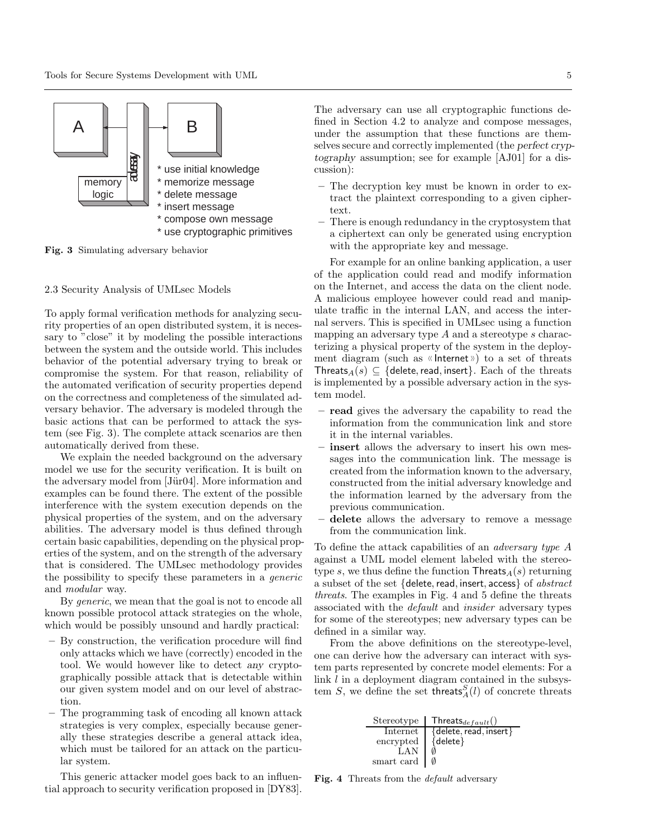

Fig. 3 Simulating adversary behavior

2.3 Security Analysis of UMLsec Models

To apply formal verification methods for analyzing security properties of an open distributed system, it is necessary to "close" it by modeling the possible interactions between the system and the outside world. This includes behavior of the potential adversary trying to break or compromise the system. For that reason, reliability of the automated verification of security properties depend on the correctness and completeness of the simulated adversary behavior. The adversary is modeled through the basic actions that can be performed to attack the system (see Fig. 3). The complete attack scenarios are then automatically derived from these.

We explain the needed background on the adversary model we use for the security verification. It is built on the adversary model from [Jür04]. More information and examples can be found there. The extent of the possible interference with the system execution depends on the physical properties of the system, and on the adversary abilities. The adversary model is thus defined through certain basic capabilities, depending on the physical properties of the system, and on the strength of the adversary that is considered. The UMLsec methodology provides the possibility to specify these parameters in a generic and modular way.

By *generic*, we mean that the goal is not to encode all known possible protocol attack strategies on the whole, which would be possibly unsound and hardly practical:

- By construction, the verification procedure will find only attacks which we have (correctly) encoded in the tool. We would however like to detect any cryptographically possible attack that is detectable within our given system model and on our level of abstraction.
- The programming task of encoding all known attack strategies is very complex, especially because generally these strategies describe a general attack idea, which must be tailored for an attack on the particular system.

This generic attacker model goes back to an influential approach to security verification proposed in [DY83].

The adversary can use all cryptographic functions defined in Section 4.2 to analyze and compose messages, under the assumption that these functions are themselves secure and correctly implemented (the perfect cryptography assumption; see for example [AJ01] for a discussion):

- The decryption key must be known in order to extract the plaintext corresponding to a given ciphertext.
- There is enough redundancy in the cryptosystem that a ciphertext can only be generated using encryption with the appropriate key and message.

For example for an online banking application, a user of the application could read and modify information on the Internet, and access the data on the client node. A malicious employee however could read and manipulate traffic in the internal LAN, and access the internal servers. This is specified in UMLsec using a function mapping an adversary type A and a stereotype s characterizing a physical property of the system in the deployment diagram (such as  $\langle$  Internet  $\rangle$ ) to a set of threats Threats<sub>A</sub>(s)  $\subseteq$  {delete, read, insert}. Each of the threats is implemented by a possible adversary action in the system model.

- read gives the adversary the capability to read the information from the communication link and store it in the internal variables.
- insert allows the adversary to insert his own messages into the communication link. The message is created from the information known to the adversary, constructed from the initial adversary knowledge and the information learned by the adversary from the previous communication.
- delete allows the adversary to remove a message from the communication link.

To define the attack capabilities of an adversary type A against a UML model element labeled with the stereotype s, we thus define the function  $\mathsf{Threats}_A(s)$  returning a subset of the set {delete, read, insert, access} of *abstract* threats. The examples in Fig. 4 and 5 define the threats associated with the default and insider adversary types for some of the stereotypes; new adversary types can be defined in a similar way.

From the above definitions on the stereotype-level, one can derive how the adversary can interact with system parts represented by concrete model elements: For a link  $l$  in a deployment diagram contained in the subsystem S, we define the set threats  $_A^S(l)$  of concrete threats

| Stereotype | $\mathsf{Threats}_{default}()$ |
|------------|--------------------------------|
| Internet   | ${delete, read, insert}$       |
| encrypted  | ${dete}$                       |
| L A N      |                                |
| smart card |                                |

Fig. 4 Threats from the *default* adversary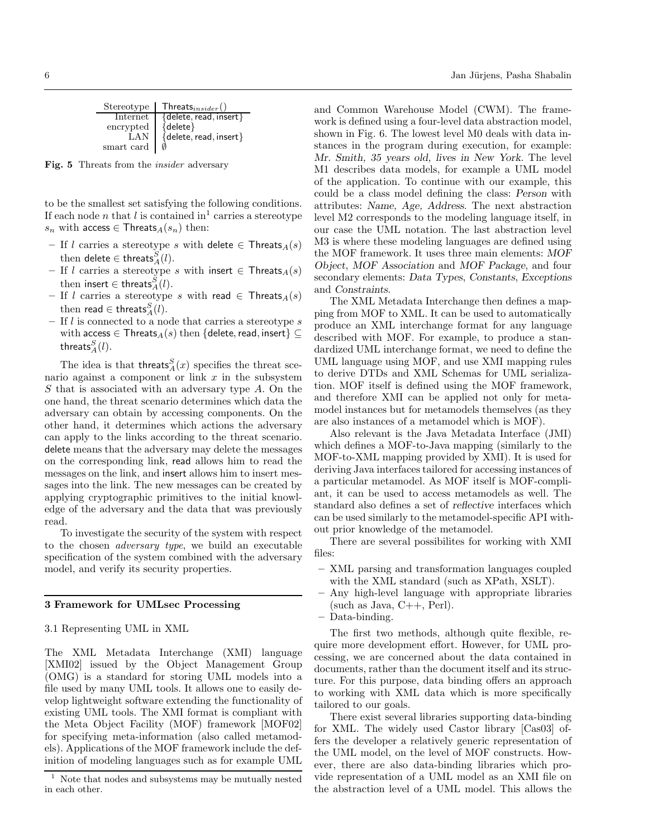| Stereotype | $\mathsf{Threats}_{inside}( )$ |
|------------|--------------------------------|
| Internet   | ${delete, read, insert}$       |
| encrypted  | ${delet}$                      |
| LAN        | $\{$ delete, read, insert $\}$ |
| smart card |                                |

Fig. 5 Threats from the *insider* adversary

to be the smallest set satisfying the following conditions. If each node *n* that *l* is contained in<sup>1</sup> carries a stereotype  $s_n$  with access  $\in$  Threats $_A(s_n)$  then:

- If l carries a stereotype s with delete  $\in$  Threats $_A(s)$ then <code>delete</code>  $\in$  <code>threats $\tilde{\vphantom{a}}^S_A(l).$ </code>
- If l carries a stereotype s with insert  $\in$  Threats<sub>A</sub>(s) then insert  $\in$  threats $\tilde{S}_{A}^{(l)}(l)$ .
- If l carries a stereotype s with read  $\in$  Threats $_A(s)$ then read  $\in$  threats ${}_{A}^S(l)$ .
- If  $l$  is connected to a node that carries a stereotype  $s$ with access  $\in$  Threats $_A(s)$  then {delete, read, insert}  $\subseteq$ threats $_A^S(l)$ .

The idea is that threats  $_A^S(x)$  specifies the threat scenario against a component or link  $x$  in the subsystem S that is associated with an adversary type A. On the one hand, the threat scenario determines which data the adversary can obtain by accessing components. On the other hand, it determines which actions the adversary can apply to the links according to the threat scenario. delete means that the adversary may delete the messages on the corresponding link, read allows him to read the messages on the link, and insert allows him to insert messages into the link. The new messages can be created by applying cryptographic primitives to the initial knowledge of the adversary and the data that was previously read.

To investigate the security of the system with respect to the chosen adversary type, we build an executable specification of the system combined with the adversary model, and verify its security properties.

## 3 Framework for UMLsec Processing

## 3.1 Representing UML in XML

The XML Metadata Interchange (XMI) language [XMI02] issued by the Object Management Group (OMG) is a standard for storing UML models into a file used by many UML tools. It allows one to easily develop lightweight software extending the functionality of existing UML tools. The XMI format is compliant with the Meta Object Facility (MOF) framework [MOF02] for specifying meta-information (also called metamodels). Applications of the MOF framework include the definition of modeling languages such as for example UML

and Common Warehouse Model (CWM). The framework is defined using a four-level data abstraction model, shown in Fig. 6. The lowest level M0 deals with data instances in the program during execution, for example: Mr. Smith, 35 years old, lives in New York. The level M1 describes data models, for example a UML model of the application. To continue with our example, this could be a class model defining the class: Person with attributes: Name, Age, Address. The next abstraction level M2 corresponds to the modeling language itself, in our case the UML notation. The last abstraction level M3 is where these modeling languages are defined using the MOF framework. It uses three main elements: MOF Object, MOF Association and MOF Package, and four secondary elements: Data Types, Constants, Exceptions and Constraints.

The XML Metadata Interchange then defines a mapping from MOF to XML. It can be used to automatically produce an XML interchange format for any language described with MOF. For example, to produce a standardized UML interchange format, we need to define the UML language using MOF, and use XMI mapping rules to derive DTDs and XML Schemas for UML serialization. MOF itself is defined using the MOF framework, and therefore XMI can be applied not only for metamodel instances but for metamodels themselves (as they are also instances of a metamodel which is MOF).

Also relevant is the Java Metadata Interface (JMI) which defines a MOF-to-Java mapping (similarly to the MOF-to-XML mapping provided by XMI). It is used for deriving Java interfaces tailored for accessing instances of a particular metamodel. As MOF itself is MOF-compliant, it can be used to access metamodels as well. The standard also defines a set of reflective interfaces which can be used similarly to the metamodel-specific API without prior knowledge of the metamodel.

There are several possibilites for working with XMI files:

- XML parsing and transformation languages coupled with the XML standard (such as XPath, XSLT).
- Any high-level language with appropriate libraries  $(such as Java, C++, Perl).$
- Data-binding.

The first two methods, although quite flexible, require more development effort. However, for UML processing, we are concerned about the data contained in documents, rather than the document itself and its structure. For this purpose, data binding offers an approach to working with XML data which is more specifically tailored to our goals.

There exist several libraries supporting data-binding for XML. The widely used Castor library [Cas03] offers the developer a relatively generic representation of the UML model, on the level of MOF constructs. However, there are also data-binding libraries which provide representation of a UML model as an XMI file on the abstraction level of a UML model. This allows the

<sup>1</sup> Note that nodes and subsystems may be mutually nested in each other.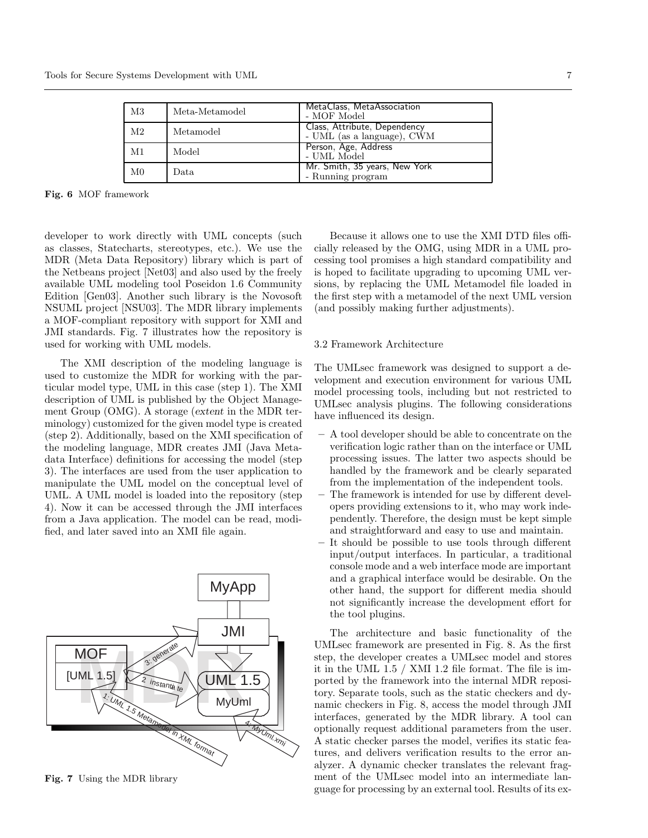| M3             | Meta-Metamodel | MetaClass, MetaAssociation<br>- MOF Model                  |
|----------------|----------------|------------------------------------------------------------|
| M <sub>2</sub> | Metamodel      | Class, Attribute, Dependency<br>- UML (as a language), CWM |
| M1             | Model          | Person, Age, Address<br>- UML Model                        |
| $_{\rm M0}$    | Data.          | Mr. Smith, 35 years, New York<br>- Running program         |

Fig. 6 MOF framework

developer to work directly with UML concepts (such as classes, Statecharts, stereotypes, etc.). We use the MDR (Meta Data Repository) library which is part of the Netbeans project [Net03] and also used by the freely available UML modeling tool Poseidon 1.6 Community Edition [Gen03]. Another such library is the Novosoft NSUML project [NSU03]. The MDR library implements a MOF-compliant repository with support for XMI and JMI standards. Fig. 7 illustrates how the repository is used for working with UML models.

The XMI description of the modeling language is used to customize the MDR for working with the particular model type, UML in this case (step 1). The XMI description of UML is published by the Object Management Group (OMG). A storage (extent in the MDR terminology) customized for the given model type is created (step 2). Additionally, based on the XMI specification of the modeling language, MDR creates JMI (Java Metadata Interface) definitions for accessing the model (step 3). The interfaces are used from the user application to manipulate the UML model on the conceptual level of UML. A UML model is loaded into the repository (step 4). Now it can be accessed through the JMI interfaces from a Java application. The model can be read, modified, and later saved into an XMI file again.



Fig. 7 Using the MDR library

Because it allows one to use the XMI DTD files officially released by the OMG, using MDR in a UML processing tool promises a high standard compatibility and is hoped to facilitate upgrading to upcoming UML versions, by replacing the UML Metamodel file loaded in the first step with a metamodel of the next UML version (and possibly making further adjustments).

## 3.2 Framework Architecture

The UMLsec framework was designed to support a development and execution environment for various UML model processing tools, including but not restricted to UMLsec analysis plugins. The following considerations have influenced its design.

- A tool developer should be able to concentrate on the verification logic rather than on the interface or UML processing issues. The latter two aspects should be handled by the framework and be clearly separated from the implementation of the independent tools.
- The framework is intended for use by different developers providing extensions to it, who may work independently. Therefore, the design must be kept simple and straightforward and easy to use and maintain.
- It should be possible to use tools through different input/output interfaces. In particular, a traditional console mode and a web interface mode are important and a graphical interface would be desirable. On the other hand, the support for different media should not significantly increase the development effort for the tool plugins.

The architecture and basic functionality of the UMLsec framework are presented in Fig. 8. As the first step, the developer creates a UMLsec model and stores it in the UML 1.5 / XMI 1.2 file format. The file is imported by the framework into the internal MDR repository. Separate tools, such as the static checkers and dynamic checkers in Fig. 8, access the model through JMI interfaces, generated by the MDR library. A tool can optionally request additional parameters from the user. A static checker parses the model, verifies its static features, and delivers verification results to the error analyzer. A dynamic checker translates the relevant fragment of the UMLsec model into an intermediate language for processing by an external tool. Results of its ex-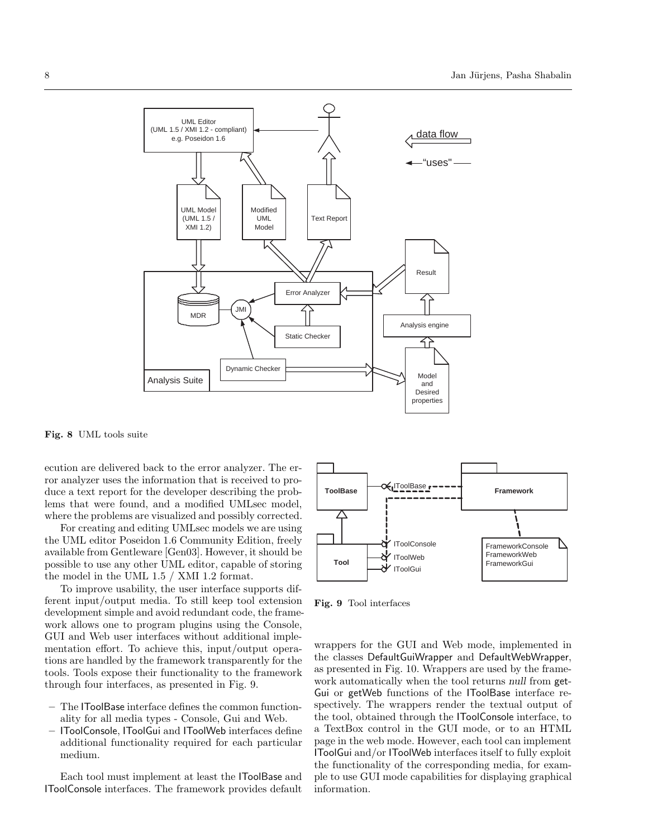**Framework** 

**FrameworkConsole** FrameworkWeb FrameworkGui



Fig. 8 UML tools suite

ecution are delivered back to the error analyzer. The error analyzer uses the information that is received to produce a text report for the developer describing the problems that were found, and a modified UMLsec model, where the problems are visualized and possibly corrected.

For creating and editing UMLsec models we are using the UML editor Poseidon 1.6 Community Edition, freely available from Gentleware [Gen03]. However, it should be possible to use any other UML editor, capable of storing the model in the UML 1.5 / XMI 1.2 format.

To improve usability, the user interface supports different input/output media. To still keep tool extension development simple and avoid redundant code, the framework allows one to program plugins using the Console, GUI and Web user interfaces without additional implementation effort. To achieve this, input/output operations are handled by the framework transparently for the tools. Tools expose their functionality to the framework through four interfaces, as presented in Fig. 9.

- The IToolBase interface defines the common functionality for all media types - Console, Gui and Web.
- IToolConsole, IToolGui and IToolWeb interfaces define additional functionality required for each particular medium.

Each tool must implement at least the IToolBase and IToolConsole interfaces. The framework provides default

IToolGui

**IToolConsole** Y IToolWeb

XiToolBase r

Fig. 9 Tool interfaces

**Tool** 

**ToolBase** 

╱╲

wrappers for the GUI and Web mode, implemented in the classes DefaultGuiWrapper and DefaultWebWrapper, as presented in Fig. 10. Wrappers are used by the framework automatically when the tool returns null from get-Gui or getWeb functions of the IToolBase interface respectively. The wrappers render the textual output of the tool, obtained through the IToolConsole interface, to a TextBox control in the GUI mode, or to an HTML page in the web mode. However, each tool can implement IToolGui and/or IToolWeb interfaces itself to fully exploit the functionality of the corresponding media, for example to use GUI mode capabilities for displaying graphical information.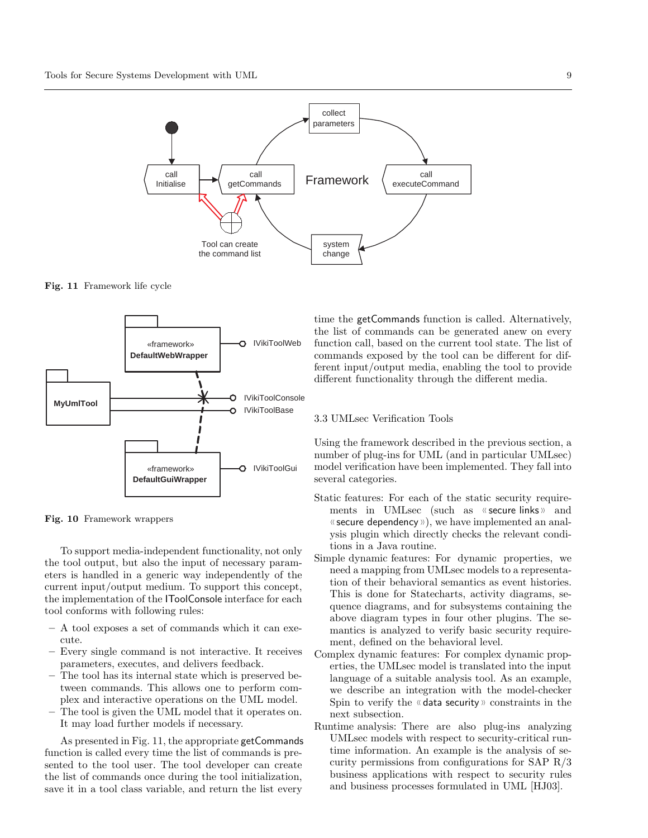

Fig. 11 Framework life cycle



Fig. 10 Framework wrappers

To support media-independent functionality, not only the tool output, but also the input of necessary parameters is handled in a generic way independently of the current input/output medium. To support this concept, the implementation of the IToolConsole interface for each tool conforms with following rules:

- A tool exposes a set of commands which it can execute.
- Every single command is not interactive. It receives parameters, executes, and delivers feedback.
- The tool has its internal state which is preserved between commands. This allows one to perform complex and interactive operations on the UML model.
- The tool is given the UML model that it operates on. It may load further models if necessary.

As presented in Fig. 11, the appropriate getCommands function is called every time the list of commands is presented to the tool user. The tool developer can create the list of commands once during the tool initialization, save it in a tool class variable, and return the list every

time the getCommands function is called. Alternatively, the list of commands can be generated anew on every function call, based on the current tool state. The list of commands exposed by the tool can be different for different input/output media, enabling the tool to provide different functionality through the different media.

## 3.3 UMLsec Verification Tools

Using the framework described in the previous section, a number of plug-ins for UML (and in particular UMLsec) model verification have been implemented. They fall into several categories.

- Static features: For each of the static security requirements in UMLsec (such as «secure links» and  $\%$  secure dependency  $\Diamond$ ), we have implemented an analysis plugin which directly checks the relevant conditions in a Java routine.
- Simple dynamic features: For dynamic properties, we need a mapping from UMLsec models to a representation of their behavioral semantics as event histories. This is done for Statecharts, activity diagrams, sequence diagrams, and for subsystems containing the above diagram types in four other plugins. The semantics is analyzed to verify basic security requirement, defined on the behavioral level.
- Complex dynamic features: For complex dynamic properties, the UMLsec model is translated into the input language of a suitable analysis tool. As an example, we describe an integration with the model-checker Spin to verify the  $\&$  data security  $\&$  constraints in the next subsection.
- Runtime analysis: There are also plug-ins analyzing UMLsec models with respect to security-critical runtime information. An example is the analysis of security permissions from configurations for SAP R/3 business applications with respect to security rules and business processes formulated in UML [HJ03].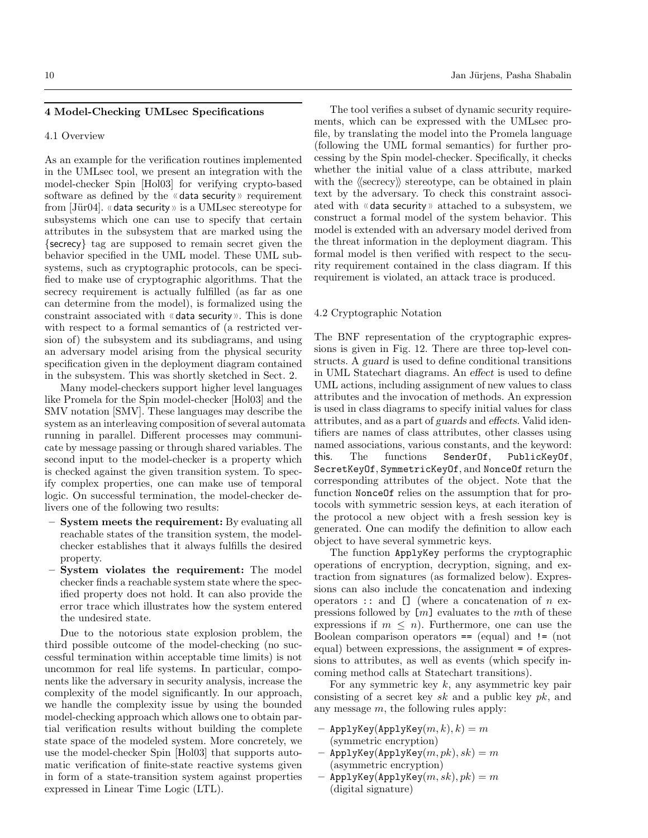## 4 Model-Checking UMLsec Specifications

#### 4.1 Overview

As an example for the verification routines implemented in the UMLsec tool, we present an integration with the model-checker Spin [Hol03] for verifying crypto-based software as defined by the  $\kappa$  data security  $\delta$  requirement from [Jür04]. «data security » is a UMLsec stereotype for subsystems which one can use to specify that certain attributes in the subsystem that are marked using the {secrecy} tag are supposed to remain secret given the behavior specified in the UML model. These UML subsystems, such as cryptographic protocols, can be specified to make use of cryptographic algorithms. That the secrecy requirement is actually fulfilled (as far as one can determine from the model), is formalized using the constraint associated with «data security». This is done with respect to a formal semantics of (a restricted version of) the subsystem and its subdiagrams, and using an adversary model arising from the physical security specification given in the deployment diagram contained in the subsystem. This was shortly sketched in Sect. 2.

Many model-checkers support higher level languages like Promela for the Spin model-checker [Hol03] and the SMV notation [SMV]. These languages may describe the system as an interleaving composition of several automata running in parallel. Different processes may communicate by message passing or through shared variables. The second input to the model-checker is a property which is checked against the given transition system. To specify complex properties, one can make use of temporal logic. On successful termination, the model-checker delivers one of the following two results:

- System meets the requirement: By evaluating all reachable states of the transition system, the modelchecker establishes that it always fulfills the desired property.
- System violates the requirement: The model checker finds a reachable system state where the specified property does not hold. It can also provide the error trace which illustrates how the system entered the undesired state.

Due to the notorious state explosion problem, the third possible outcome of the model-checking (no successful termination within acceptable time limits) is not uncommon for real life systems. In particular, components like the adversary in security analysis, increase the complexity of the model significantly. In our approach, we handle the complexity issue by using the bounded model-checking approach which allows one to obtain partial verification results without building the complete state space of the modeled system. More concretely, we use the model-checker Spin [Hol03] that supports automatic verification of finite-state reactive systems given in form of a state-transition system against properties expressed in Linear Time Logic (LTL).

The tool verifies a subset of dynamic security requirements, which can be expressed with the UMLsec profile, by translating the model into the Promela language (following the UML formal semantics) for further processing by the Spin model-checker. Specifically, it checks whether the initial value of a class attribute, marked with the  $\langle \langle \text{secrecy} \rangle \rangle$  stereotype, can be obtained in plain text by the adversary. To check this constraint associated with «data security» attached to a subsystem, we construct a formal model of the system behavior. This model is extended with an adversary model derived from the threat information in the deployment diagram. This formal model is then verified with respect to the security requirement contained in the class diagram. If this requirement is violated, an attack trace is produced.

## 4.2 Cryptographic Notation

The BNF representation of the cryptographic expressions is given in Fig. 12. There are three top-level constructs. A guard is used to define conditional transitions in UML Statechart diagrams. An effect is used to define UML actions, including assignment of new values to class attributes and the invocation of methods. An expression is used in class diagrams to specify initial values for class attributes, and as a part of guards and effects. Valid identifiers are names of class attributes, other classes using named associations, various constants, and the keyword: this. The functions SenderOf, PublicKeyOf, SecretKeyOf, SymmetricKeyOf, and NonceOf return the corresponding attributes of the object. Note that the function NonceOf relies on the assumption that for protocols with symmetric session keys, at each iteration of the protocol a new object with a fresh session key is generated. One can modify the definition to allow each object to have several symmetric keys.

The function ApplyKey performs the cryptographic operations of encryption, decryption, signing, and extraction from signatures (as formalized below). Expressions can also include the concatenation and indexing operators :: and  $[]$  (where a concatenation of n expressions followed by  $[m]$  evaluates to the mth of these expressions if  $m \leq n$ . Furthermore, one can use the Boolean comparison operators == (equal) and != (not equal) between expressions, the assignment = of expressions to attributes, as well as events (which specify incoming method calls at Statechart transitions).

For any symmetric key  $k$ , any asymmetric key pair consisting of a secret key  $sk$  and a public key  $pk$ , and any message  $m$ , the following rules apply:

- $-$  ApplyKey(ApplyKey $(m, k), k) = m$ (symmetric encryption)
- $-$  ApplyKey(ApplyKey( $m, pk$ ),  $sk$ ) =  $m$ (asymmetric encryption)
- $-$  ApplyKey(ApplyKey $(m, sk), pk$ ) = m (digital signature)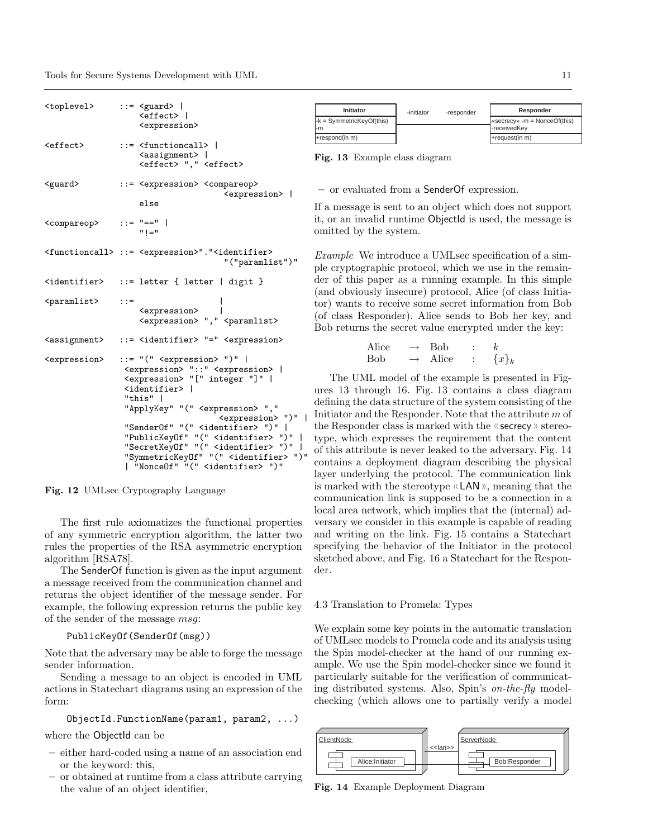Tools for Secure Systems Development with UML 11

| <toplevel> ::= <guard>  </guard></toplevel> |         | <effect>  <br/><expression></expression></effect>                                                                                                                                                                                                                                                                                                                                                                                                                                                                                                                |
|---------------------------------------------|---------|------------------------------------------------------------------------------------------------------------------------------------------------------------------------------------------------------------------------------------------------------------------------------------------------------------------------------------------------------------------------------------------------------------------------------------------------------------------------------------------------------------------------------------------------------------------|
| <effect></effect>                           |         | $::=$ $\leq$ functioncall>  <br><assignment>  <br/><effect> "," <effect></effect></effect></assignment>                                                                                                                                                                                                                                                                                                                                                                                                                                                          |
| <guard></guard>                             |         | ::= <expression> <compareop><br/><expression>  <br/>else</expression></compareop></expression>                                                                                                                                                                                                                                                                                                                                                                                                                                                                   |
| $\verb  :: = "-="  $                        |         | $\mathbf{u}$ $\mathbf{u} = \mathbf{u}$                                                                                                                                                                                                                                                                                                                                                                                                                                                                                                                           |
|                                             |         | <functioncall> ::= <expression>"."<identifier><br/>"("paramlist")"</identifier></expression></functioncall>                                                                                                                                                                                                                                                                                                                                                                                                                                                      |
|                                             |         | $\left\{ \text{identity} \right\}$ ::= letter { letter   digit }                                                                                                                                                                                                                                                                                                                                                                                                                                                                                                 |
| <paramlist></paramlist>                     | $: : =$ | <expression><br/><expression> "," <paramlist></paramlist></expression></expression>                                                                                                                                                                                                                                                                                                                                                                                                                                                                              |
|                                             |         | <assignment> ::= <identifier> "=" <expression></expression></identifier></assignment>                                                                                                                                                                                                                                                                                                                                                                                                                                                                            |
| <expression></expression>                   |         | ::= "(" <expression> ")"  <br/><expression> "::" <expression>  <br/><expression> "[" integer "]"  <br/><identifier>  <br/>"this"  <br/>"ApplyKey" "(" <expression> ","<br/><expression> ")"  <br/>"SenderOf" "(" <identifier> ")"  <br/>"PublicKeyOf" "(" <identifier> ")"  <br/>"SecretKeyOf" "(" <identifier> ")"  <br/>"SymmetricKeyOf" "(" <identifier> ")"<br/>  "NonceOf" "(" <identifier> ")"</identifier></identifier></identifier></identifier></identifier></expression></expression></identifier></expression></expression></expression></expression> |

Fig. 12 UMLsec Cryptography Language

The first rule axiomatizes the functional properties of any symmetric encryption algorithm, the latter two rules the properties of the RSA asymmetric encryption algorithm [RSA78].

The SenderOf function is given as the input argument a message received from the communication channel and returns the object identifier of the message sender. For example, the following expression returns the public key of the sender of the message msg:

#### PublicKeyOf(SenderOf(msg))

Note that the adversary may be able to forge the message sender information.

Sending a message to an object is encoded in UML actions in Statechart diagrams using an expression of the form:

```
ObjectId.FunctionName(param1, param2, ...)
```
where the ObjectId can be

- either hard-coded using a name of an association end or the keyword: this,
- or obtained at runtime from a class attribute carrying the value of an object identifier,

| Initiator                         | -initiator | -responder | Responder                                              |
|-----------------------------------|------------|------------|--------------------------------------------------------|
| $-k = SymmetricKeyOf(this)$<br>-m |            |            | $\kappa$ secrecy » -m = NonceOf(this)<br>I-receivedKev |
| +respond(in m)                    |            |            | $+$ request(in m)                                      |

Fig. 13 Example class diagram

– or evaluated from a SenderOf expression.

If a message is sent to an object which does not support it, or an invalid runtime ObjectId is used, the message is omitted by the system.

Example We introduce a UMLsec specification of a simple cryptographic protocol, which we use in the remainder of this paper as a running example. In this simple (and obviously insecure) protocol, Alice (of class Initiator) wants to receive some secret information from Bob (of class Responder). Alice sends to Bob her key, and Bob returns the secret value encrypted under the key:

> Alice  $\rightarrow$  Bob : k<br>Bob  $\rightarrow$  Alice :  $\{x\}_k$  $Bob \rightarrow Alice :$

The UML model of the example is presented in Figures 13 through 16. Fig. 13 contains a class diagram defining the data structure of the system consisting of the Initiator and the Responder. Note that the attribute m of the Responder class is marked with the  $\kappa$  secrecy  $\kappa$  stereotype, which expresses the requirement that the content of this attribute is never leaked to the adversary. Fig. 14 contains a deployment diagram describing the physical layer underlying the protocol. The communication link is marked with the stereotype  $\mathbb{K}$  LAN  $\mathbb{N}$ , meaning that the communication link is supposed to be a connection in a local area network, which implies that the (internal) adversary we consider in this example is capable of reading and writing on the link. Fig. 15 contains a Statechart specifying the behavior of the Initiator in the protocol sketched above, and Fig. 16 a Statechart for the Responder.

## 4.3 Translation to Promela: Types

We explain some key points in the automatic translation of UMLsec models to Promela code and its analysis using the Spin model-checker at the hand of our running example. We use the Spin model-checker since we found it particularly suitable for the verification of communicating distributed systems. Also, Spin's on-the-fly modelchecking (which allows one to partially verify a model



Fig. 14 Example Deployment Diagram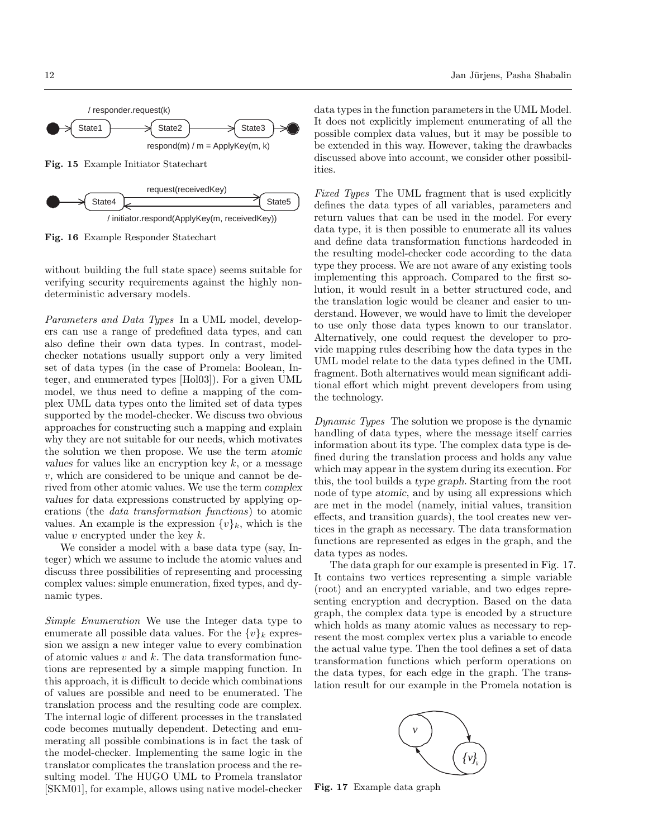

Fig. 15 Example Initiator Statechart



Fig. 16 Example Responder Statechart

without building the full state space) seems suitable for verifying security requirements against the highly nondeterministic adversary models.

Parameters and Data Types In a UML model, developers can use a range of predefined data types, and can also define their own data types. In contrast, modelchecker notations usually support only a very limited set of data types (in the case of Promela: Boolean, Integer, and enumerated types [Hol03]). For a given UML model, we thus need to define a mapping of the complex UML data types onto the limited set of data types supported by the model-checker. We discuss two obvious approaches for constructing such a mapping and explain why they are not suitable for our needs, which motivates the solution we then propose. We use the term atomic values for values like an encryption key  $k$ , or a message v, which are considered to be unique and cannot be derived from other atomic values. We use the term complex values for data expressions constructed by applying operations (the data transformation functions) to atomic values. An example is the expression  $\{v\}_k$ , which is the value  $v$  encrypted under the key  $k$ .

We consider a model with a base data type (say, Integer) which we assume to include the atomic values and discuss three possibilities of representing and processing complex values: simple enumeration, fixed types, and dynamic types.

Simple Enumeration We use the Integer data type to enumerate all possible data values. For the  $\{v\}_k$  expression we assign a new integer value to every combination of atomic values  $v$  and  $k$ . The data transformation functions are represented by a simple mapping function. In this approach, it is difficult to decide which combinations of values are possible and need to be enumerated. The translation process and the resulting code are complex. The internal logic of different processes in the translated code becomes mutually dependent. Detecting and enumerating all possible combinations is in fact the task of the model-checker. Implementing the same logic in the translator complicates the translation process and the resulting model. The HUGO UML to Promela translator [SKM01], for example, allows using native model-checker

data types in the function parameters in the UML Model. It does not explicitly implement enumerating of all the possible complex data values, but it may be possible to be extended in this way. However, taking the drawbacks discussed above into account, we consider other possibilities.

Fixed Types The UML fragment that is used explicitly defines the data types of all variables, parameters and return values that can be used in the model. For every data type, it is then possible to enumerate all its values and define data transformation functions hardcoded in the resulting model-checker code according to the data type they process. We are not aware of any existing tools implementing this approach. Compared to the first solution, it would result in a better structured code, and the translation logic would be cleaner and easier to understand. However, we would have to limit the developer to use only those data types known to our translator. Alternatively, one could request the developer to provide mapping rules describing how the data types in the UML model relate to the data types defined in the UML fragment. Both alternatives would mean significant additional effort which might prevent developers from using the technology.

Dynamic Types The solution we propose is the dynamic handling of data types, where the message itself carries information about its type. The complex data type is defined during the translation process and holds any value which may appear in the system during its execution. For this, the tool builds a type graph. Starting from the root node of type atomic, and by using all expressions which are met in the model (namely, initial values, transition effects, and transition guards), the tool creates new vertices in the graph as necessary. The data transformation functions are represented as edges in the graph, and the data types as nodes.

The data graph for our example is presented in Fig. 17. It contains two vertices representing a simple variable (root) and an encrypted variable, and two edges representing encryption and decryption. Based on the data graph, the complex data type is encoded by a structure which holds as many atomic values as necessary to represent the most complex vertex plus a variable to encode the actual value type. Then the tool defines a set of data transformation functions which perform operations on the data types, for each edge in the graph. The translation result for our example in the Promela notation is



Fig. 17 Example data graph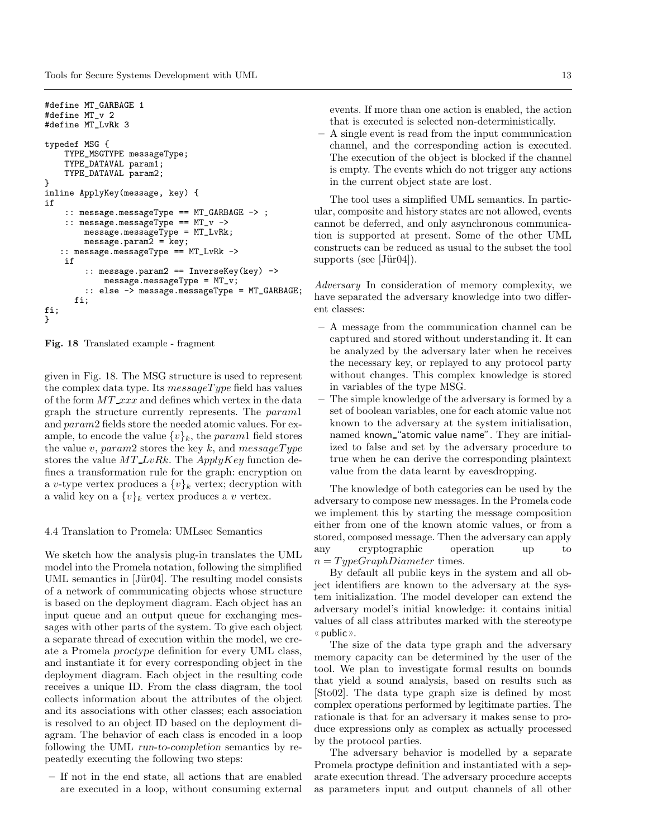```
#define MT_GARBAGE 1
#define MT_v 2
#define MT_LvRk 3
typedef MSG {
    TYPE_MSGTYPE messageType;
    TYPE_DATAVAL param1;
    TYPE_DATAVAL param2;
}
inline ApplyKey(message, key) {
if
    :: message.messageType == MT_GARBAGE -> ;
    :: message.messageType == MT_v ->
        message.messageType = MT_LvRk;
        message.param2 = key;
   :: message.messageType == MT_LvRk ->
    if
        :: message.param2 == InverseKey(key) ->
            message.messageType = MT_v;
        :: else -> message.messageType = MT_GARBAGE;
      fi;
fi;
}
```
Fig. 18 Translated example - fragment

given in Fig. 18. The MSG structure is used to represent the complex data type. Its messageType field has values of the form  $MT\_xxx$  and defines which vertex in the data graph the structure currently represents. The param1 and param2 fields store the needed atomic values. For example, to encode the value  $\{v\}_k$ , the param1 field stores the value v, param2 stores the key k, and  $messageType$ stores the value  $MT\_LvRk$ . The  $ApplyKey$  function defines a transformation rule for the graph: encryption on a v-type vertex produces a  $\{v\}_k$  vertex; decryption with a valid key on a  $\{v\}_k$  vertex produces a v vertex.

## 4.4 Translation to Promela: UMLsec Semantics

We sketch how the analysis plug-in translates the UML model into the Promela notation, following the simplified UML semantics in [Jür04]. The resulting model consists of a network of communicating objects whose structure is based on the deployment diagram. Each object has an input queue and an output queue for exchanging messages with other parts of the system. To give each object a separate thread of execution within the model, we create a Promela proctype definition for every UML class, and instantiate it for every corresponding object in the deployment diagram. Each object in the resulting code receives a unique ID. From the class diagram, the tool collects information about the attributes of the object and its associations with other classes; each association is resolved to an object ID based on the deployment diagram. The behavior of each class is encoded in a loop following the UML run-to-completion semantics by repeatedly executing the following two steps:

– If not in the end state, all actions that are enabled are executed in a loop, without consuming external

events. If more than one action is enabled, the action that is executed is selected non-deterministically.

– A single event is read from the input communication channel, and the corresponding action is executed. The execution of the object is blocked if the channel is empty. The events which do not trigger any actions in the current object state are lost.

The tool uses a simplified UML semantics. In particular, composite and history states are not allowed, events cannot be deferred, and only asynchronous communication is supported at present. Some of the other UML constructs can be reduced as usual to the subset the tool supports (see  $[\text{Jür04}]$ ).

Adversary In consideration of memory complexity, we have separated the adversary knowledge into two different classes:

- A message from the communication channel can be captured and stored without understanding it. It can be analyzed by the adversary later when he receives the necessary key, or replayed to any protocol party without changes. This complex knowledge is stored in variables of the type MSG.
- The simple knowledge of the adversary is formed by a set of boolean variables, one for each atomic value not known to the adversary at the system initialisation, named known\_"atomic value name". They are initialized to false and set by the adversary procedure to true when he can derive the corresponding plaintext value from the data learnt by eavesdropping.

The knowledge of both categories can be used by the adversary to compose new messages. In the Promela code we implement this by starting the message composition either from one of the known atomic values, or from a stored, composed message. Then the adversary can apply any cryptographic operation up to  $n = TypeGraphDiameter$  times.

By default all public keys in the system and all object identifiers are known to the adversary at the system initialization. The model developer can extend the adversary model's initial knowledge: it contains initial values of all class attributes marked with the stereotype  $\langle \mathbf{public} \rangle$ .

The size of the data type graph and the adversary memory capacity can be determined by the user of the tool. We plan to investigate formal results on bounds that yield a sound analysis, based on results such as [Sto02]. The data type graph size is defined by most complex operations performed by legitimate parties. The rationale is that for an adversary it makes sense to produce expressions only as complex as actually processed by the protocol parties.

The adversary behavior is modelled by a separate Promela proctype definition and instantiated with a separate execution thread. The adversary procedure accepts as parameters input and output channels of all other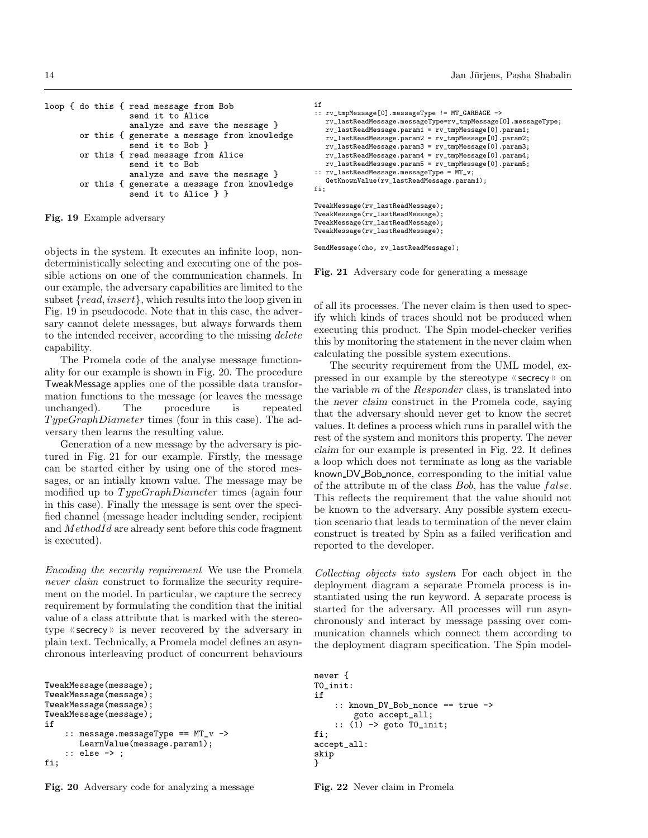```
loop { do this { read message from Bob
                 send it to Alice
                 analyze and save the message }
       or this { generate a message from knowledge
                 send it to Bob }
       or this { read message from Alice
                 send it to Bob
                 analyze and save the message }
       or this { generate a message from knowledge
                 send it to Alice } }
```
Fig. 19 Example adversary

objects in the system. It executes an infinite loop, nondeterministically selecting and executing one of the possible actions on one of the communication channels. In our example, the adversary capabilities are limited to the subset  ${read, insert}$ , which results into the loop given in Fig. 19 in pseudocode. Note that in this case, the adversary cannot delete messages, but always forwards them to the intended receiver, according to the missing *delete* capability.

The Promela code of the analyse message functionality for our example is shown in Fig. 20. The procedure TweakMessage applies one of the possible data transformation functions to the message (or leaves the message unchanged). The procedure is repeated TypeGraphDiameter times (four in this case). The adversary then learns the resulting value.

Generation of a new message by the adversary is pictured in Fig. 21 for our example. Firstly, the message can be started either by using one of the stored messages, or an intially known value. The message may be modified up to  $TypeGraphDiameter$  times (again four in this case). Finally the message is sent over the specified channel (message header including sender, recipient and MethodId are already sent before this code fragment is executed).

Encoding the security requirement We use the Promela never claim construct to formalize the security requirement on the model. In particular, we capture the secrecy requirement by formulating the condition that the initial value of a class attribute that is marked with the stereotype «secrecy» is never recovered by the adversary in plain text. Technically, a Promela model defines an asynchronous interleaving product of concurrent behaviours

```
TweakMessage(message);
TweakMessage(message);
TweakMessage(message);
TweakMessage(message);
if
    :: message.messageType == MT_v ->
       LearnValue(message.param1);
    :: else -> ;
fi;
```

```
if
:: rv_tmpMessage[0].messageType != MT_GARBAGE ->
   rv_lastReadMessage.messageType=rv_tmpMessage[0].messageType;
   rv_lastReadMessage.param1 = rv_tmpMessage[0].param1;
rv_lastReadMessage.param2 = rv_tmpMessage[0].param2;
   rv_lastReadMessage.param3 = rv_tmpMessage[0].param3;
   rv_lastReadMessage.param4 = rv_tmpMessage[0].param4;
   rv_lastReadMessage.param5 = rv_tmpMessage[0].param5;
:: rv_lastReadMessage.messageType = MT_v;
   GetKnownValue(rv_lastReadMessage.param1);
fi;
TweakMessage(rv_lastReadMessage);
TweakMessage(rv_lastReadMessage);
TweakMessage(rv_lastReadMessage);
TweakMessage(rv_lastReadMessage);
```
SendMessage(cho, rv\_lastReadMessage);

Fig. 21 Adversary code for generating a message

of all its processes. The never claim is then used to specify which kinds of traces should not be produced when executing this product. The Spin model-checker verifies this by monitoring the statement in the never claim when calculating the possible system executions.

The security requirement from the UML model, expressed in our example by the stereotype  $\&$  secrecy  $\&$  on the variable  $m$  of the *Responder* class, is translated into the never claim construct in the Promela code, saying that the adversary should never get to know the secret values. It defines a process which runs in parallel with the rest of the system and monitors this property. The never claim for our example is presented in Fig. 22. It defines a loop which does not terminate as long as the variable known DV Bob nonce, corresponding to the initial value of the attribute m of the class Bob, has the value false. This reflects the requirement that the value should not be known to the adversary. Any possible system execution scenario that leads to termination of the never claim construct is treated by Spin as a failed verification and reported to the developer.

Collecting objects into system For each object in the deployment diagram a separate Promela process is instantiated using the run keyword. A separate process is started for the adversary. All processes will run asynchronously and interact by message passing over communication channels which connect them according to the deployment diagram specification. The Spin model-

```
never {
T0_init:
if
    :: known_DV_Bob_nonce == true ->
        goto accept_all;
      (1) -> goto TO_init;
fi;
accept_all:
skip
}
```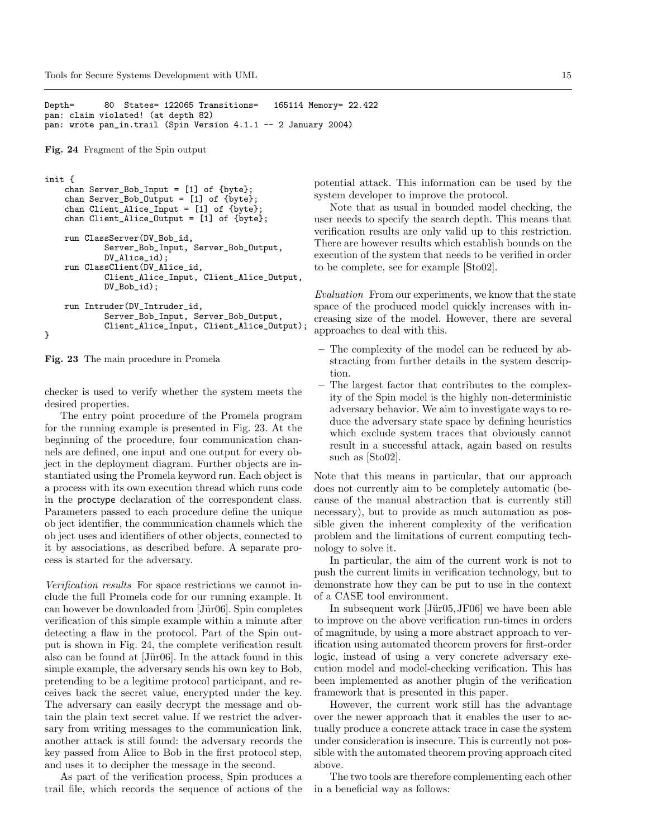```
Depth= 80 States= 122065 Transitions= 165114 Memory= 22.422
pan: claim violated! (at depth 82)
pan: wrote pan_in.trail (Spin Version 4.1.1 -- 2 January 2004)
```
Fig. 24 Fragment of the Spin output

```
init {
    chan Server_Bob_Input = [1] of {byte};
    chan Server_Bob_Output = [1] of \{byte\};chan Client_Alice_Input = [1] of {byte};
    chan Client_Alice_Output = [1] of {byte};
   run ClassServer(DV_Bob_id,
            Server_Bob_Input, Server_Bob_Output,
            DV_Alice_id);
   run ClassClient(DV_Alice_id,
            Client_Alice_Input, Client_Alice_Output,
            DV_Bob_id);
   run Intruder(DV_Intruder_id,
            Server_Bob_Input, Server_Bob_Output,
            Client_Alice_Input, Client_Alice_Output);
```

```
}
```
Fig. 23 The main procedure in Promela

checker is used to verify whether the system meets the desired properties.

The entry point procedure of the Promela program for the running example is presented in Fig. 23. At the beginning of the procedure, four communication channels are defined, one input and one output for every object in the deployment diagram. Further objects are instantiated using the Promela keyword run. Each object is a process with its own execution thread which runs code in the proctype declaration of the correspondent class. Parameters passed to each procedure define the unique ob ject identifier, the communication channels which the ob ject uses and identifiers of other objects, connected to it by associations, as described before. A separate process is started for the adversary.

Verification results For space restrictions we cannot include the full Promela code for our running example. It can however be downloaded from [Jür06]. Spin completes verification of this simple example within a minute after detecting a flaw in the protocol. Part of the Spin output is shown in Fig. 24, the complete verification result also can be found at  $[\text{Jür06}]$ . In the attack found in this simple example, the adversary sends his own key to Bob, pretending to be a legitime protocol participant, and receives back the secret value, encrypted under the key. The adversary can easily decrypt the message and obtain the plain text secret value. If we restrict the adversary from writing messages to the communication link, another attack is still found: the adversary records the key passed from Alice to Bob in the first protocol step, and uses it to decipher the message in the second.

As part of the verification process, Spin produces a trail file, which records the sequence of actions of the potential attack. This information can be used by the system developer to improve the protocol.

Note that as usual in bounded model checking, the user needs to specify the search depth. This means that verification results are only valid up to this restriction. There are however results which establish bounds on the execution of the system that needs to be verified in order to be complete, see for example [Sto02].

Evaluation From our experiments, we know that the state space of the produced model quickly increases with increasing size of the model. However, there are several approaches to deal with this.

- The complexity of the model can be reduced by abstracting from further details in the system description.
- The largest factor that contributes to the complexity of the Spin model is the highly non-deterministic adversary behavior. We aim to investigate ways to reduce the adversary state space by defining heuristics which exclude system traces that obviously cannot result in a successful attack, again based on results such as [Sto02].

Note that this means in particular, that our approach does not currently aim to be completely automatic (because of the manual abstraction that is currently still necessary), but to provide as much automation as possible given the inherent complexity of the verification problem and the limitations of current computing technology to solve it.

In particular, the aim of the current work is not to push the current limits in verification technology, but to demonstrate how they can be put to use in the context of a CASE tool environment.

In subsequent work [Jür05, JF06] we have been able to improve on the above verification run-times in orders of magnitude, by using a more abstract approach to verification using automated theorem provers for first-order logic, instead of using a very concrete adversary execution model and model-checking verification. This has been implemented as another plugin of the verification framework that is presented in this paper.

However, the current work still has the advantage over the newer approach that it enables the user to actually produce a concrete attack trace in case the system under consideration is insecure. This is currently not possible with the automated theorem proving approach cited above.

The two tools are therefore complementing each other in a beneficial way as follows: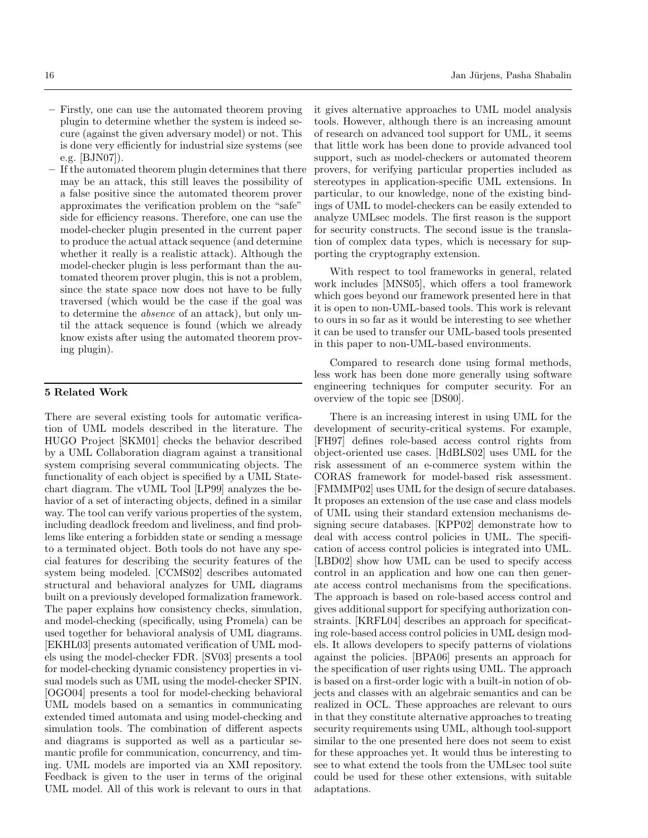- Firstly, one can use the automated theorem proving plugin to determine whether the system is indeed secure (against the given adversary model) or not. This is done very efficiently for industrial size systems (see e.g. [BJN07]).
- If the automated theorem plugin determines that there may be an attack, this still leaves the possibility of a false positive since the automated theorem prover approximates the verification problem on the "safe" side for efficiency reasons. Therefore, one can use the model-checker plugin presented in the current paper to produce the actual attack sequence (and determine whether it really is a realistic attack). Although the model-checker plugin is less performant than the automated theorem prover plugin, this is not a problem, since the state space now does not have to be fully traversed (which would be the case if the goal was to determine the absence of an attack), but only until the attack sequence is found (which we already know exists after using the automated theorem proving plugin).

## 5 Related Work

There are several existing tools for automatic verification of UML models described in the literature. The HUGO Project [SKM01] checks the behavior described by a UML Collaboration diagram against a transitional system comprising several communicating objects. The functionality of each object is specified by a UML Statechart diagram. The vUML Tool [LP99] analyzes the behavior of a set of interacting objects, defined in a similar way. The tool can verify various properties of the system, including deadlock freedom and liveliness, and find problems like entering a forbidden state or sending a message to a terminated object. Both tools do not have any special features for describing the security features of the system being modeled. [CCMS02] describes automated structural and behavioral analyzes for UML diagrams built on a previously developed formalization framework. The paper explains how consistency checks, simulation, and model-checking (specifically, using Promela) can be used together for behavioral analysis of UML diagrams. [EKHL03] presents automated verification of UML models using the model-checker FDR. [SV03] presents a tool for model-checking dynamic consistency properties in visual models such as UML using the model-checker SPIN. [OGO04] presents a tool for model-checking behavioral UML models based on a semantics in communicating extended timed automata and using model-checking and simulation tools. The combination of different aspects and diagrams is supported as well as a particular semantic profile for communication, concurrency, and timing. UML models are imported via an XMI repository. Feedback is given to the user in terms of the original UML model. All of this work is relevant to ours in that

it gives alternative approaches to UML model analysis tools. However, although there is an increasing amount of research on advanced tool support for UML, it seems that little work has been done to provide advanced tool support, such as model-checkers or automated theorem provers, for verifying particular properties included as stereotypes in application-specific UML extensions. In particular, to our knowledge, none of the existing bindings of UML to model-checkers can be easily extended to analyze UMLsec models. The first reason is the support for security constructs. The second issue is the translation of complex data types, which is necessary for supporting the cryptography extension.

With respect to tool frameworks in general, related work includes [MNS05], which offers a tool framework which goes beyond our framework presented here in that it is open to non-UML-based tools. This work is relevant to ours in so far as it would be interesting to see whether it can be used to transfer our UML-based tools presented in this paper to non-UML-based environments.

Compared to research done using formal methods, less work has been done more generally using software engineering techniques for computer security. For an overview of the topic see [DS00].

There is an increasing interest in using UML for the development of security-critical systems. For example, [FH97] defines role-based access control rights from object-oriented use cases. [HdBLS02] uses UML for the risk assessment of an e-commerce system within the CORAS framework for model-based risk assessment. [FMMMP02] uses UML for the design of secure databases. It proposes an extension of the use case and class models of UML using their standard extension mechanisms designing secure databases. [KPP02] demonstrate how to deal with access control policies in UML. The specification of access control policies is integrated into UML. [LBD02] show how UML can be used to specify access control in an application and how one can then generate access control mechanisms from the specifications. The approach is based on role-based access control and gives additional support for specifying authorization constraints. [KRFL04] describes an approach for specificating role-based access control policies in UML design models. It allows developers to specify patterns of violations against the policies. [BPA06] presents an approach for the specification of user rights using UML. The approach is based on a first-order logic with a built-in notion of objects and classes with an algebraic semantics and can be realized in OCL. These approaches are relevant to ours in that they constitute alternative approaches to treating security requirements using UML, although tool-support similar to the one presented here does not seem to exist for these approaches yet. It would thus be interesting to see to what extend the tools from the UMLsec tool suite could be used for these other extensions, with suitable adaptations.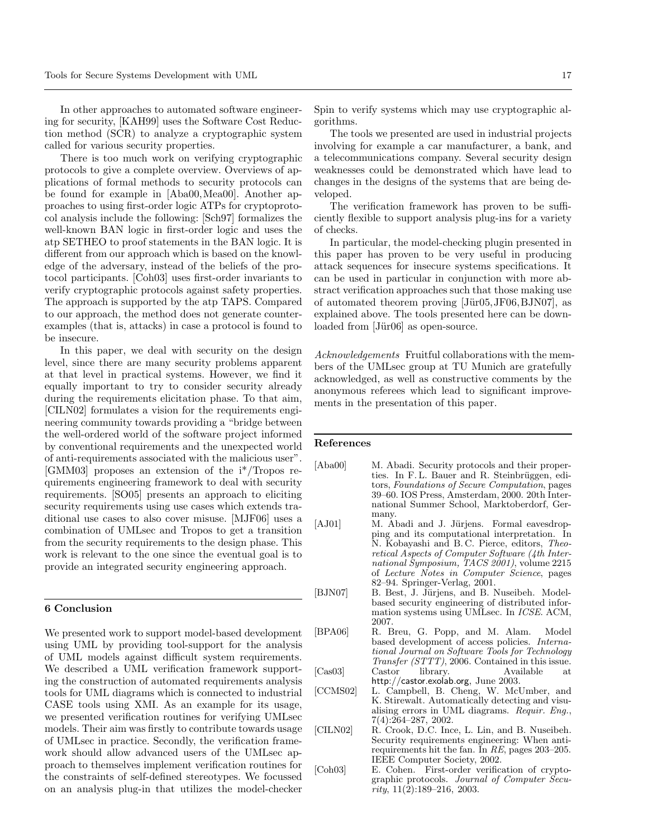In other approaches to automated software engineering for security, [KAH99] uses the Software Cost Reduction method (SCR) to analyze a cryptographic system called for various security properties.

There is too much work on verifying cryptographic protocols to give a complete overview. Overviews of applications of formal methods to security protocols can be found for example in [Aba00,Mea00]. Another approaches to using first-order logic ATPs for cryptoprotocol analysis include the following: [Sch97] formalizes the well-known BAN logic in first-order logic and uses the atp SETHEO to proof statements in the BAN logic. It is different from our approach which is based on the knowledge of the adversary, instead of the beliefs of the protocol participants. [Coh03] uses first-order invariants to verify cryptographic protocols against safety properties. The approach is supported by the atp TAPS. Compared to our approach, the method does not generate counterexamples (that is, attacks) in case a protocol is found to be insecure.

In this paper, we deal with security on the design level, since there are many security problems apparent at that level in practical systems. However, we find it equally important to try to consider security already during the requirements elicitation phase. To that aim, [CILN02] formulates a vision for the requirements engineering community towards providing a "bridge between the well-ordered world of the software project informed by conventional requirements and the unexpected world of anti-requirements associated with the malicious user". [GMM03] proposes an extension of the i\*/Tropos requirements engineering framework to deal with security requirements. [SO05] presents an approach to eliciting security requirements using use cases which extends traditional use cases to also cover misuse. [MJF06] uses a combination of UMLsec and Tropos to get a transition from the security requirements to the design phase. This work is relevant to the one since the eventual goal is to provide an integrated security engineering approach.

#### 6 Conclusion

We presented work to support model-based development using UML by providing tool-support for the analysis of UML models against difficult system requirements. We described a UML verification framework supporting the construction of automated requirements analysis tools for UML diagrams which is connected to industrial CASE tools using XMI. As an example for its usage, we presented verification routines for verifying UMLsec models. Their aim was firstly to contribute towards usage of UMLsec in practice. Secondly, the verification framework should allow advanced users of the UMLsec approach to themselves implement verification routines for the constraints of self-defined stereotypes. We focussed on an analysis plug-in that utilizes the model-checker

The tools we presented are used in industrial projects involving for example a car manufacturer, a bank, and a telecommunications company. Several security design weaknesses could be demonstrated which have lead to changes in the designs of the systems that are being developed.

The verification framework has proven to be sufficiently flexible to support analysis plug-ins for a variety of checks.

In particular, the model-checking plugin presented in this paper has proven to be very useful in producing attack sequences for insecure systems specifications. It can be used in particular in conjunction with more abstract verification approaches such that those making use of automated theorem proving [Jür05, JF06, BJN07], as explained above. The tools presented here can be downloaded from [Jür06] as open-source.

Acknowledgements Fruitful collaborations with the members of the UMLsec group at TU Munich are gratefully acknowledged, as well as constructive comments by the anonymous referees which lead to significant improvements in the presentation of this paper.

#### References

- [Aba00] M. Abadi. Security protocols and their properties. In F.L. Bauer and R. Steinbrüggen, editors, Foundations of Secure Computation, pages 39–60. IOS Press, Amsterdam, 2000. 20th International Summer School, Marktoberdorf, Germany.
- [AJ01] M. Abadi and J. Jürjens. Formal eavesdropping and its computational interpretation. In N. Kobayashi and B. C. Pierce, editors, Theoretical Aspects of Computer Software (4th International Symposium, TACS 2001), volume 2215 of Lecture Notes in Computer Science, pages 82–94. Springer-Verlag, 2001.
- [BJN07] B. Best, J. Jürjens, and B. Nuseibeh. Modelbased security engineering of distributed information systems using UMLsec. In ICSE. ACM, 2007.
- [BPA06] R. Breu, G. Popp, and M. Alam. Model based development of access policies. International Journal on Software Tools for Technology Transfer (STTT), 2006. Contained in this issue.<br>Castor library. Available at [Cas03] Castor library. Available at http://castor.exolab.org, June 2003.
- [CCMS02] L. Campbell, B. Cheng, W. McUmber, and K. Stirewalt. Automatically detecting and visualising errors in UML diagrams. Requir. Eng., 7(4):264–287, 2002.
- [CILN02] R. Crook, D.C. Ince, L. Lin, and B. Nuseibeh. Security requirements engineering: When antirequirements hit the fan. In RE, pages 203–205. IEEE Computer Society, 2002.
- [Coh03] E. Cohen. First-order verification of cryptographic protocols. Journal of Computer Secu $rity, 11(2):189-216, 2003.$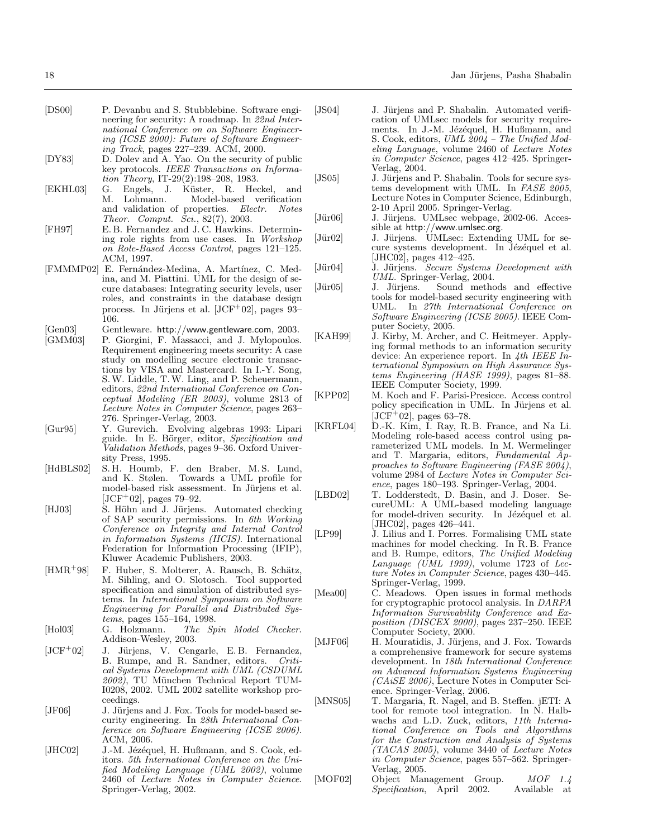| [DS00] | P. Devanbu and S. Stubblebine. Software engi-   |
|--------|-------------------------------------------------|
|        | neering for security: A roadmap. In 22nd Inter- |
|        | national Conference on on Software Engineer-    |
|        | ing (ICSE 2000): Future of Software Engineer-   |
|        | <i>ing Track</i> , pages 227–239. ACM, 2000.    |
|        |                                                 |

- [DY83] D. Dolev and A. Yao. On the security of public key protocols. IEEE Transactions on Information Theory, IT-29(2):198–208, 1983.
- [EKHL03] G. Engels, J. Küster, R. Heckel, and<br>M. Lohmann. Model-based verification Model-based verification and validation of properties. Electr. Notes Theor. Comput. Sci., 82(7), 2003.
- [FH97] E. B. Fernandez and J. C. Hawkins. Determining role rights from use cases. In Workshop on Role-Based Access Control, pages 121–125. ACM, 1997.
- [FMMMP02] E. Fernández-Medina, A. Martínez, C. Medina, and M. Piattini. UML for the design of secure databases: Integrating security levels, user roles, and constraints in the database design process. In Jürjens et al.  $[JCF<sup>+</sup>02]$ , pages 93– 106.
- [Gen03] Gentleware. http://www.gentleware.com, 2003.
- [GMM03] P. Giorgini, F. Massacci, and J. Mylopoulos. Requirement engineering meets security: A case study on modelling secure electronic transactions by VISA and Mastercard. In I.-Y. Song, S.W. Liddle, T.W. Ling, and P. Scheuermann, editors, 22nd International Conference on Conceptual Modeling (ER 2003), volume 2813 of Lecture Notes in Computer Science, pages 263– 276. Springer-Verlag, 2003.
- [Gur95] Y. Gurevich. Evolving algebras 1993: Lipari guide. In E. Börger, editor, Specification and Validation Methods, pages 9–36. Oxford University Press, 1995.
- [HdBLS02] S. H. Houmb, F. den Braber, M. S. Lund, and K. Stølen. Towards a UML profile for model-based risk assessment. In Jürjens et al.  $[JCF<sup>+</sup>02]$ , pages 79–92.
- [HJ03] S. Höhn and J. Jürjens. Automated checking of SAP security permissions. In 6th Working Conference on Integrity and Internal Control in Information Systems (IICIS). International Federation for Information Processing (IFIP), Kluwer Academic Publishers, 2003.
- [HMR<sup>+</sup>98] F. Huber, S. Molterer, A. Rausch, B. Schätz, M. Sihling, and O. Slotosch. Tool supported specification and simulation of distributed systems. In International Symposium on Software Engineering for Parallel and Distributed Systems, pages 155–164, 1998.
- [Hol03] G. Holzmann. The Spin Model Checker. Addison-Wesley, 2003.
- $[JCF<sup>+</sup>02]$  J. Jürjens, V. Cengarle, E.B. Fernandez, B. Rumpe, and R. Sandner, editors. Critical Systems Development with UML (CSDUML 2002), TU München Technical Report TUM-I0208, 2002. UML 2002 satellite workshop proceedings.
- [JF06] J. Jürjens and J. Fox. Tools for model-based security engineering. In 28th International Conference on Software Engineering (ICSE 2006). ACM, 2006.
- [JHC02] J.-M. Jézéquel, H. Hußmann, and S. Cook, editors. 5th International Conference on the Unified Modeling Language (UML 2002), volume 2460 of Lecture Notes in Computer Science. Springer-Verlag, 2002.
- [JS04] J. Jürjens and P. Shabalin. Automated verification of UMLsec models for security requirements. In J.-M. Jézéquel, H. Hußmann, and S. Cook, editors, UML 2004 - The Unified Modeling Language, volume 2460 of Lecture Notes in Computer Science, pages 412–425. Springer-Verlag, 2004.
- [JS05] J. Jürjens and P. Shabalin. Tools for secure systems development with UML. In FASE  $2005$ , Lecture Notes in Computer Science, Edinburgh, 2-10 April 2005. Springer-Verlag.
- [Jür06] J. Jürjens. UMLsec webpage, 2002-06. Accessible at http://www.umlsec.org.
- [Jür02] J. Jürjens. UMLsec: Extending UML for secure systems development. In Jézéquel et al. [JHC02], pages 412–425.
- [Jür04] J. Jürjens. Secure Systems Development with UML. Springer-Verlag, 2004.
- [Jür05] J. Jürjens. Sound methods and effective tools for model-based security engineering with UML. In 27th International Conference on Software Engineering (ICSE 2005). IEEE Computer Society, 2005.
- [KAH99] J. Kirby, M. Archer, and C. Heitmeyer. Applying formal methods to an information security device: An experience report. In  $4th$  IEEE International Symposium on High Assurance Sys $tems$  Engineering (HASE 1999), pages 81–88. IEEE Computer Society, 1999.
- [KPP02] M. Koch and F. Parisi-Presicce. Access control policy specification in UML. In Jüriens et al.  $[JCF<sup>+</sup>02]$ , pages 63–78.
- [KRFL04] D.-K. Kim, I. Ray, R. B. France, and Na Li. Modeling role-based access control using parameterized UML models. In M. Wermelinger and T. Margaria, editors, Fundamental Approaches to Software Engineering (FASE 2004), volume 2984 of Lecture Notes in Computer Science, pages 180–193. Springer-Verlag, 2004.
- [LBD02] T. Lodderstedt, D. Basin, and J. Doser. SecureUML: A UML-based modeling language for model-driven security. In Jézéquel et al. [JHC02], pages 426–441.
- [LP99] J. Lilius and I. Porres. Formalising UML state machines for model checking. In R. B. France and B. Rumpe, editors, The Unified Modeling Language (UML 1999), volume 1723 of Lecture Notes in Computer Science, pages 430–445. Springer-Verlag, 1999.
- [Mea00] C. Meadows. Open issues in formal methods for cryptographic protocol analysis. In DARPA Information Survivability Conference and Exposition (DISCEX 2000), pages 237–250. IEEE Computer Society, 2000.
- [MJF06] H. Mouratidis, J. Jürjens, and J. Fox. Towards a comprehensive framework for secure systems development. In 18th International Conference on Advanced Information Systems Engineering (CAiSE 2006), Lecture Notes in Computer Science. Springer-Verlag, 2006.
- [MNS05] T. Margaria, R. Nagel, and B. Steffen. jETI: A tool for remote tool integration. In N. Halbwachs and L.D. Zuck, editors, 11th International Conference on Tools and Algorithms for the Construction and Analysis of Systems (TACAS 2005), volume 3440 of Lecture Notes in Computer Science, pages 557–562. Springer-Verlag, 2005.

[MOF02] Object Management Group. *MOF* 1.4<br>Specification. April 2002. Available at  $Specification$ , April 2002.